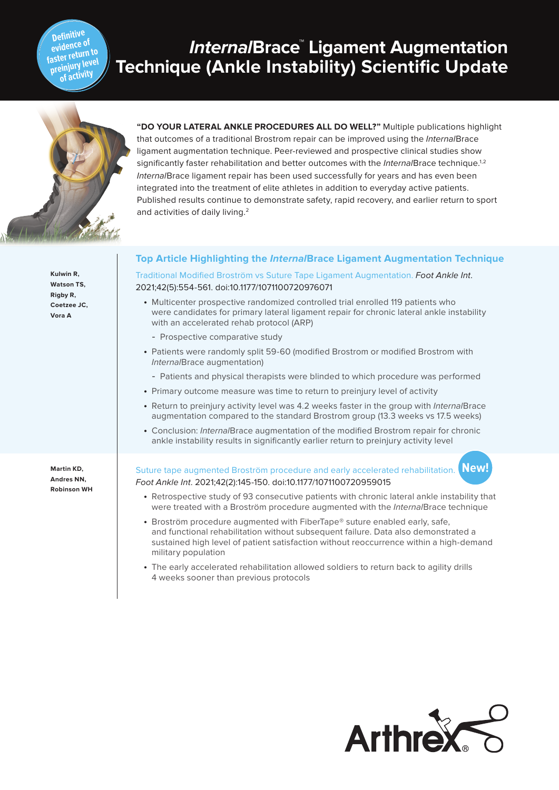### **Definitive evidence of faster return to preinjury level of activity**

# **InternalBrace™ Ligament Augmentation Technique (Ankle Instability) Scientific Update**



**Kulwin R, Watson TS, Rigby R, Coetzee JC, Vora A**

**Martin KD, Andres NN, Robinson WH**

# **"DO YOUR LATERAL ANKLE PROCEDURES ALL DO WELL?"** Multiple publications highlight that outcomes of a traditional Brostrom repair can be improved using the InternalBrace ligament augmentation technique. Peer-reviewed and prospective clinical studies show significantly faster rehabilitation and better outcomes with the *Internal* Brace technique.<sup>1,2</sup> InternalBrace ligament repair has been used successfully for years and has even been integrated into the treatment of elite athletes in addition to everyday active patients. Published results continue to demonstrate safety, rapid recovery, and earlier return to sport and activities of daily living.<sup>2</sup>

# **Top Article Highlighting the InternalBrace Ligament Augmentation Technique**

Traditional Modified Broström vs Suture Tape Ligament Augmentation. Foot Ankle Int. 2021;42(5):554-561. doi:10.1177/1071100720976071

- Multicenter prospective randomized controlled trial enrolled 119 patients who were candidates for primary lateral ligament repair for chronic lateral ankle instability with an accelerated rehab protocol (ARP)
	- Prospective comparative study
- Patients were randomly split 59-60 (modified Brostrom or modified Brostrom with InternalBrace augmentation)
	- Patients and physical therapists were blinded to which procedure was performed
- Primary outcome measure was time to return to preinjury level of activity
- Return to preinjury activity level was 4.2 weeks faster in the group with InternalBrace augmentation compared to the standard Brostrom group (13.3 weeks vs 17.5 weeks)
- Conclusion: InternalBrace augmentation of the modified Brostrom repair for chronic ankle instability results in significantly earlier return to preinjury activity level

#### Suture tape augmented Broström procedure and early accelerated rehabilitation. Foot Ankle Int. 2021;42(2):145-150. doi:10.1177/1071100720959015 **New!**

- Retrospective study of 93 consecutive patients with chronic lateral ankle instability that were treated with a Broström procedure augmented with the InternalBrace technique
- Broström procedure augmented with FiberTape® suture enabled early, safe, and functional rehabilitation without subsequent failure. Data also demonstrated a sustained high level of patient satisfaction without reoccurrence within a high-demand military population
- The early accelerated rehabilitation allowed soldiers to return back to agility drills 4 weeks sooner than previous protocols

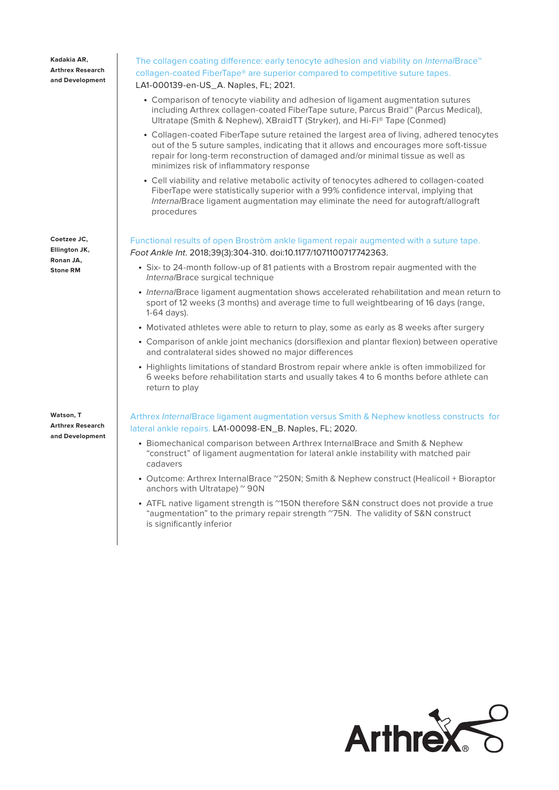**Kadakia AR, Arthrex Research and Development**

**Coetzee JC, Ellington JK, Ronan JA, Stone RM**

**Watson, T Arthrex Research and Development**

# The collagen coating difference: early tenocyte adhesion and viability on InternalBrace™ collagen-coated FiberTape® are superior compared to competitive suture tapes. LA1-000139-en-US\_A. Naples, FL; 2021.

- Comparison of tenocyte viability and adhesion of ligament augmentation sutures including Arthrex collagen-coated FiberTape suture, Parcus Braid™ (Parcus Medical), Ultratape (Smith & Nephew), XBraidTT (Stryker), and Hi-Fi® Tape (Conmed)
- Collagen-coated FiberTape suture retained the largest area of living, adhered tenocytes out of the 5 suture samples, indicating that it allows and encourages more soft-tissue repair for long-term reconstruction of damaged and/or minimal tissue as well as minimizes risk of inflammatory response
- Cell viability and relative metabolic activity of tenocytes adhered to collagen-coated FiberTape were statistically superior with a 99% confidence interval, implying that InternalBrace ligament augmentation may eliminate the need for autograft/allograft procedures

Functional results of open Broström ankle ligament repair augmented with a suture tape. Foot Ankle Int. 2018;39(3):304-310. doi:10.1177/1071100717742363.

- Six- to 24-month follow-up of 81 patients with a Brostrom repair augmented with the InternalBrace surgical technique
- InternalBrace ligament augmentation shows accelerated rehabilitation and mean return to sport of 12 weeks (3 months) and average time to full weightbearing of 16 days (range, 1-64 days).
- Motivated athletes were able to return to play, some as early as 8 weeks after surgery
- Comparison of ankle joint mechanics (dorsiflexion and plantar flexion) between operative and contralateral sides showed no major differences
- Highlights limitations of standard Brostrom repair where ankle is often immobilized for 6 weeks before rehabilitation starts and usually takes 4 to 6 months before athlete can return to play

Arthrex InternalBrace ligament augmentation versus Smith & Nephew knotless constructs for lateral ankle repairs. LA1-00098-EN\_B. Naples, FL; 2020.

- Biomechanical comparison between Arthrex InternalBrace and Smith & Nephew "construct" of ligament augmentation for lateral ankle instability with matched pair cadavers
- Outcome: Arthrex InternalBrace ~250N; Smith & Nephew construct (Healicoil + Bioraptor anchors with Ultratape) ~ 90N
- ATFL native ligament strength is "150N therefore S&N construct does not provide a true "augmentation" to the primary repair strength ~75N. The validity of S&N construct is significantly inferior

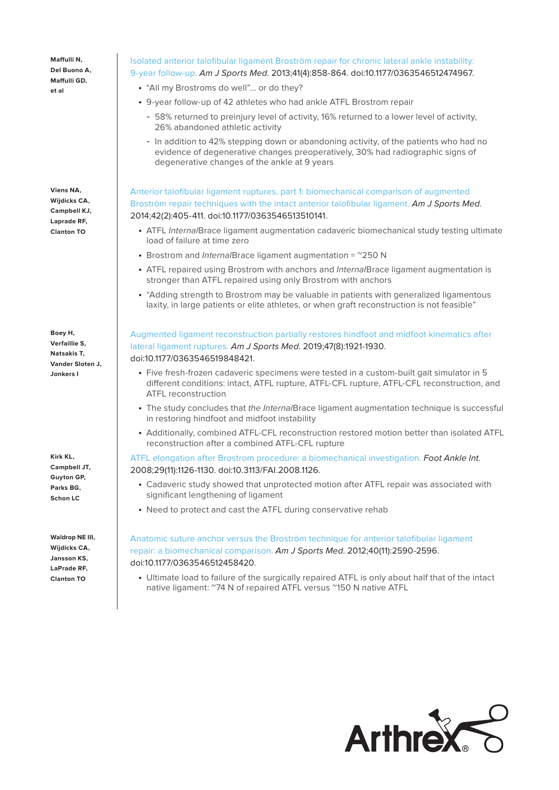**Maffulli N, Del Buono A, Maffulli GD, et al**

**Viens NA, Wijdicks CA, Campbell KJ, Laprade RF, Clanton TO**

**Boey H, Verfaillie S, Natsakis T, Vander Sloten J, Jonkers I**

**Kirk KL, Campbell JT, Guyton GP, Parks BG, Schon LC**

**Waldrop NE III, Wijdicks CA, Jansson KS, LaPrade RF, Clanton TO**

# Isolated anterior talofibular ligament Broström repair for chronic lateral ankle instability: 9-year follow-up. Am J Sports Med. 2013;41(4):858-864. doi:10.1177/0363546512474967.

- "All my Brostroms do well"... or do they?
- 9-year follow-up of 42 athletes who had ankle ATFL Brostrom repair
	- 58% returned to preinjury level of activity, 16% returned to a lower level of activity, 26% abandoned athletic activity
	- In addition to 42% stepping down or abandoning activity, of the patients who had no evidence of degenerative changes preoperatively, 30% had radiographic signs of degenerative changes of the ankle at 9 years

Anterior talofibular ligament ruptures, part 1: biomechanical comparison of augmented Broström repair techniques with the intact anterior talofibular ligament. Am J Sports Med. 2014;42(2):405-411. doi:10.1177/0363546513510141.

- ATFL InternalBrace ligament augmentation cadaveric biomechanical study testing ultimate load of failure at time zero
- Brostrom and Internal Brace ligament augmentation  $=$   $^{\circ}250$  N
- ATFL repaired using Brostrom with anchors and InternalBrace ligament augmentation is stronger than ATFL repaired using only Brostrom with anchors
- "Adding strength to Brostrom may be valuable in patients with generalized ligamentous laxity, in large patients or elite athletes, or when graft reconstruction is not feasible"

Augmented ligament reconstruction partially restores hindfoot and midfoot kinematics after lateral ligament ruptures. Am J Sports Med. 2019;47(8):1921-1930. doi:10.1177/0363546519848421.

- Five fresh-frozen cadaveric specimens were tested in a custom-built gait simulator in 5 different conditions: intact, ATFL rupture, ATFL-CFL rupture, ATFL-CFL reconstruction, and ATFL reconstruction
- The study concludes that the InternalBrace ligament augmentation technique is successful in restoring hindfoot and midfoot instability
- Additionally, combined ATFL-CFL reconstruction restored motion better than isolated ATFL reconstruction after a combined ATFL-CFL rupture

ATFL elongation after Brostrom procedure: a biomechanical investigation. Foot Ankle Int. 2008;29(11):1126-1130. doi:10.3113/FAI.2008.1126.

- Cadaveric study showed that unprotected motion after ATFL repair was associated with significant lengthening of ligament
- Need to protect and cast the ATFL during conservative rehab

Anatomic suture anchor versus the Broström technique for anterior talofibular ligament repair: a biomechanical comparison. Am J Sports Med. 2012;40(11):2590-2596. doi:10.1177/0363546512458420.

• Ultimate load to failure of the surgically repaired ATFL is only about half that of the intact native ligament: ~74 N of repaired ATFL versus ~150 N native ATFL